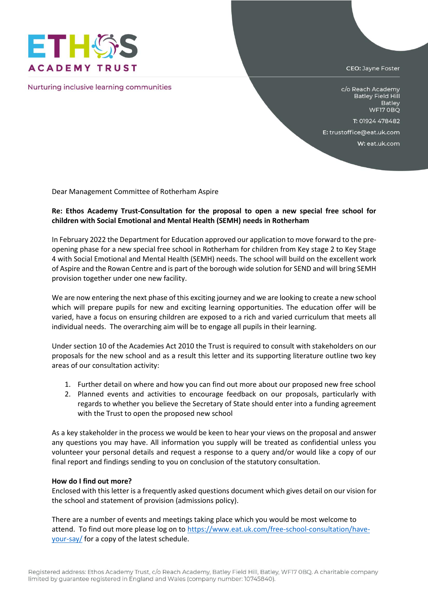

Nurturing inclusive learning communities

CEO: Jayne Foster

c/o Reach Academy **Batley Field Hill** Batley WF17 OBQ

T: 01924 478482

E: trustoffice@eat.uk.com

W: eat.uk.com

Dear Management Committee of Rotherham Aspire

## **Re: Ethos Academy Trust-Consultation for the proposal to open a new special free school for children with Social Emotional and Mental Health (SEMH) needs in Rotherham**

In February 2022 the Department for Education approved our application to move forward to the preopening phase for a new special free school in Rotherham for children from Key stage 2 to Key Stage 4 with Social Emotional and Mental Health (SEMH) needs. The school will build on the excellent work of Aspire and the Rowan Centre and is part of the borough wide solution for SEND and will bring SEMH provision together under one new facility.

We are now entering the next phase of this exciting journey and we are looking to create a new school which will prepare pupils for new and exciting learning opportunities. The education offer will be varied, have a focus on ensuring children are exposed to a rich and varied curriculum that meets all individual needs. The overarching aim will be to engage all pupils in their learning.

Under section 10 of the Academies Act 2010 the Trust is required to consult with stakeholders on our proposals for the new school and as a result this letter and its supporting literature outline two key areas of our consultation activity:

- 1. Further detail on where and how you can find out more about our proposed new free school
- 2. Planned events and activities to encourage feedback on our proposals, particularly with regards to whether you believe the Secretary of State should enter into a funding agreement with the Trust to open the proposed new school

As a key stakeholder in the process we would be keen to hear your views on the proposal and answer any questions you may have. All information you supply will be treated as confidential unless you volunteer your personal details and request a response to a query and/or would like a copy of our final report and findings sending to you on conclusion of the statutory consultation.

## **How do I find out more?**

Enclosed with this letter is a frequently asked questions document which gives detail on our vision for the school and statement of provision (admissions policy).

There are a number of events and meetings taking place which you would be most welcome to attend. To find out more please log on t[o https://www.eat.uk.com/free-school-consultation/have](https://www.eat.uk.com/free-school-consultation/have-your-say/)[your-say/](https://www.eat.uk.com/free-school-consultation/have-your-say/) for a copy of the latest schedule.